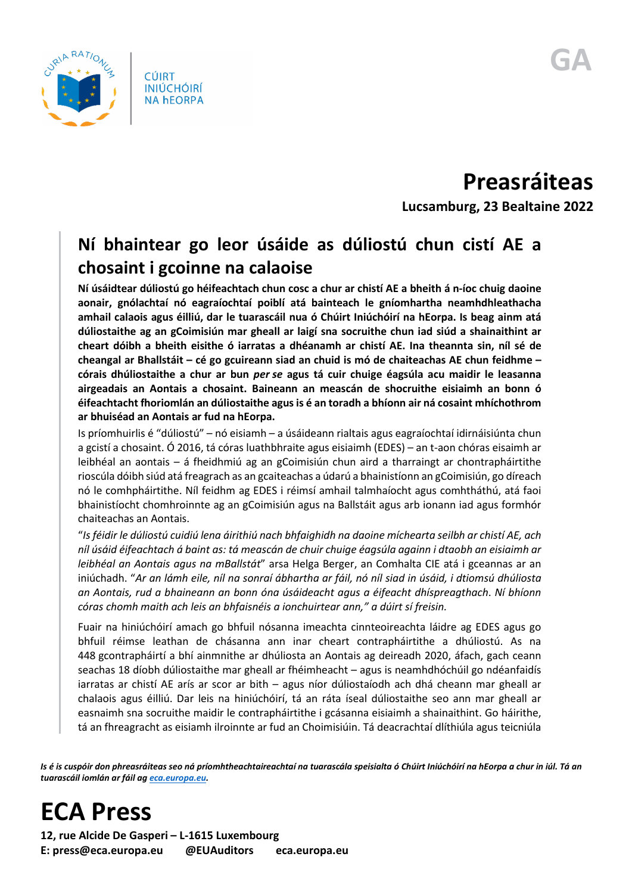

**Preasráiteas Lucsamburg, 23 Bealtaine 2022**

## **Ní bhaintear go leor úsáide as dúliostú chun cistí AE a chosaint i gcoinne na calaoise**

**Ní úsáidtear dúliostú go héifeachtach chun cosc a chur ar chistí AE a bheith á n-íoc chuig daoine aonair, gnólachtaí nó eagraíochtaí poiblí atá bainteach le gníomhartha neamhdhleathacha amhail calaois agus éilliú, dar le tuarascáil nua ó Chúirt Iniúchóirí na hEorpa. Is beag ainm atá dúliostaithe ag an gCoimisiún mar gheall ar laigí sna socruithe chun iad siúd a shainaithint ar cheart dóibh a bheith eisithe ó iarratas a dhéanamh ar chistí AE. Ina theannta sin, níl sé de cheangal ar Bhallstáit – cé go gcuireann siad an chuid is mó de chaiteachas AE chun feidhme – córais dhúliostaithe a chur ar bun** *per se* **agus tá cuir chuige éagsúla acu maidir le leasanna airgeadais an Aontais a chosaint. Baineann an meascán de shocruithe eisiaimh an bonn ó éifeachtacht fhoriomlán an dúliostaithe agus is é an toradh a bhíonn air ná cosaint mhíchothrom ar bhuiséad an Aontais ar fud na hEorpa.**

Is príomhuirlis é "dúliostú" – nó eisiamh – a úsáideann rialtais agus eagraíochtaí idirnáisiúnta chun a gcistí a chosaint. Ó 2016, tá córas luathbhraite agus eisiaimh (EDES) – an t-aon chóras eisaimh ar leibhéal an aontais – á fheidhmiú ag an gCoimisiún chun aird a tharraingt ar chontrapháirtithe rioscúla dóibh siúd atá freagrach as an gcaiteachas a údarú a bhainistíonn an gCoimisiún, go díreach nó le comhpháirtithe. Níl feidhm ag EDES i réimsí amhail talmhaíocht agus comhtháthú, atá faoi bhainistíocht chomhroinnte ag an gCoimisiún agus na Ballstáit agus arb ionann iad agus formhór chaiteachas an Aontais.

"*Is féidir le dúliostú cuidiú lena áirithiú nach bhfaighidh na daoine míchearta seilbh ar chistí AE, ach níl úsáid éifeachtach á baint as: tá meascán de chuir chuige éagsúla againn i dtaobh an eisiaimh ar leibhéal an Aontais agus na mBallstát*" arsa Helga Berger, an Comhalta CIE atá i gceannas ar an iniúchadh. "*Ar an lámh eile, níl na sonraí ábhartha ar fáil, nó níl siad in úsáid, i dtiomsú dhúliosta an Aontais, rud a bhaineann an bonn óna úsáideacht agus a éifeacht dhíspreagthach*. *Ní bhíonn córas chomh maith ach leis an bhfaisnéis a ionchuirtear ann," a dúirt sí freisin.*

Fuair na hiniúchóirí amach go bhfuil nósanna imeachta cinnteoireachta láidre ag EDES agus go bhfuil réimse leathan de chásanna ann inar cheart contrapháirtithe a dhúliostú. As na 448 gcontrapháirtí a bhí ainmnithe ar dhúliosta an Aontais ag deireadh 2020, áfach, gach ceann seachas 18 díobh dúliostaithe mar gheall ar fhéimheacht – agus is neamhdhóchúil go ndéanfaidís iarratas ar chistí AE arís ar scor ar bith – agus níor dúliostaíodh ach dhá cheann mar gheall ar chalaois agus éilliú. Dar leis na hiniúchóirí, tá an ráta íseal dúliostaithe seo ann mar gheall ar easnaimh sna socruithe maidir le contrapháirtithe i gcásanna eisiaimh a shainaithint. Go háirithe, tá an fhreagracht as eisiamh ilroinnte ar fud an Choimisiúin. Tá deacrachtaí dlíthiúla agus teicniúla

*Is é is cuspóir don phreasráiteas seo ná príomhtheachtaireachtaí na tuarascála speisialta ó Chúirt Iniúchóirí na hEorpa a chur in iúl. Tá an tuarascáil iomlán ar fáil a[g eca.europa.eu.](https://www.eca.europa.eu/)*

## **ECA Press**

**12, rue Alcide De Gasperi – L-1615 Luxembourg E: press@eca.europa.eu @EUAuditors eca.europa.eu**